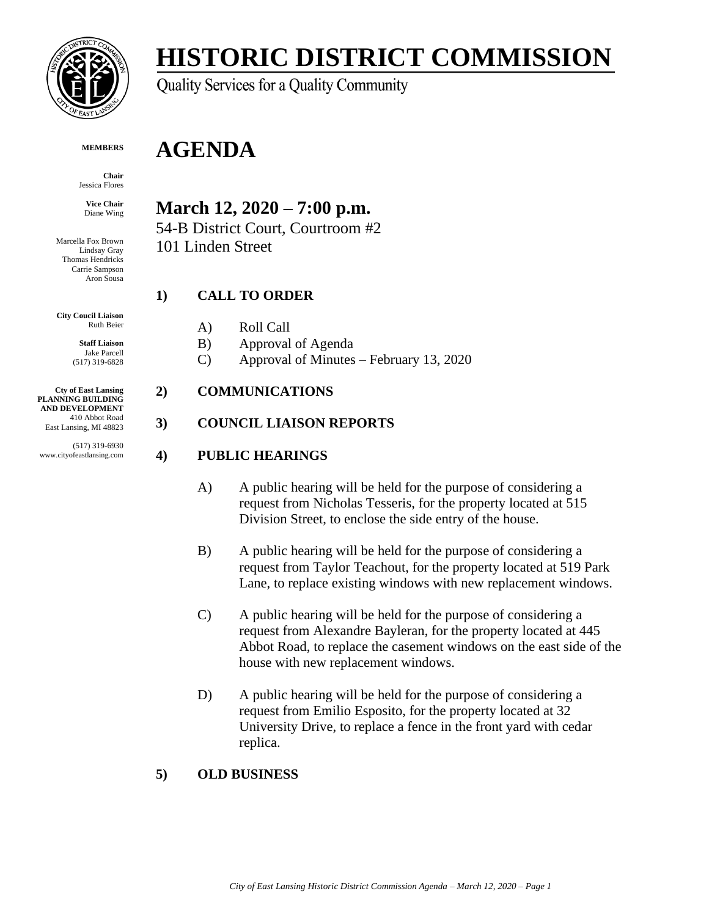

# **HISTORIC DISTRICT COMMISSION**

Quality Services for a Quality Community

#### **MEMBERS**

**Chair** Jessica Flores

**Vice Chair** Diane Wing

Marcella Fox Brown Lindsay Gray Thomas Hendricks Carrie Sampson Aron Sousa

**City Coucil Liaison** Ruth Beier

> **Staff Liaison** Jake Parcell (517) 319-6828

**Cty of East Lansing PLANNING BUILDING AND DEVELOPMENT** 410 Abbot Road East Lansing, MI 48823

(517) 319-6930 www.cityofeastlansing.com

## **March 12, 2020 – 7:00 p.m.**

**AGENDA**

54-B District Court, Courtroom #2 101 Linden Street

## **1) CALL TO ORDER**

- A) Roll Call
- B) Approval of Agenda
- C) Approval of Minutes February 13, 2020

### **2) COMMUNICATIONS**

## **3) COUNCIL LIAISON REPORTS**

## **4) PUBLIC HEARINGS**

- A) A public hearing will be held for the purpose of considering a request from Nicholas Tesseris, for the property located at 515 Division Street, to enclose the side entry of the house.
- B) A public hearing will be held for the purpose of considering a request from Taylor Teachout, for the property located at 519 Park Lane, to replace existing windows with new replacement windows.
- C) A public hearing will be held for the purpose of considering a request from Alexandre Bayleran, for the property located at 445 Abbot Road, to replace the casement windows on the east side of the house with new replacement windows.
- D) A public hearing will be held for the purpose of considering a request from Emilio Esposito, for the property located at 32 University Drive, to replace a fence in the front yard with cedar replica.

## **5) OLD BUSINESS**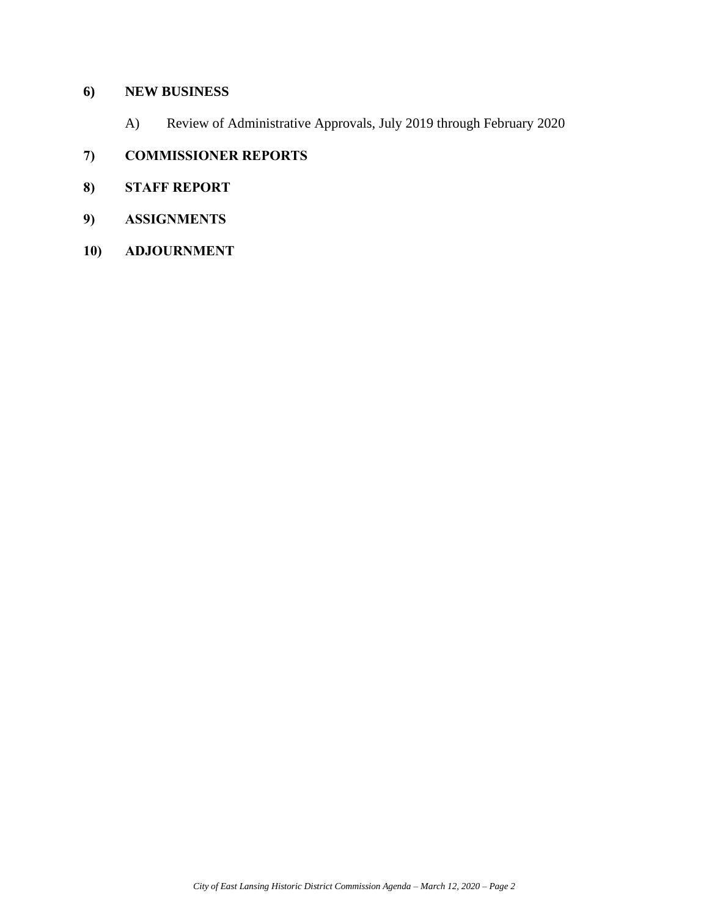### **6) NEW BUSINESS**

A) Review of Administrative Approvals, July 2019 through February 2020

## **7) COMMISSIONER REPORTS**

- **8) STAFF REPORT**
- **9) ASSIGNMENTS**
- **10) ADJOURNMENT**